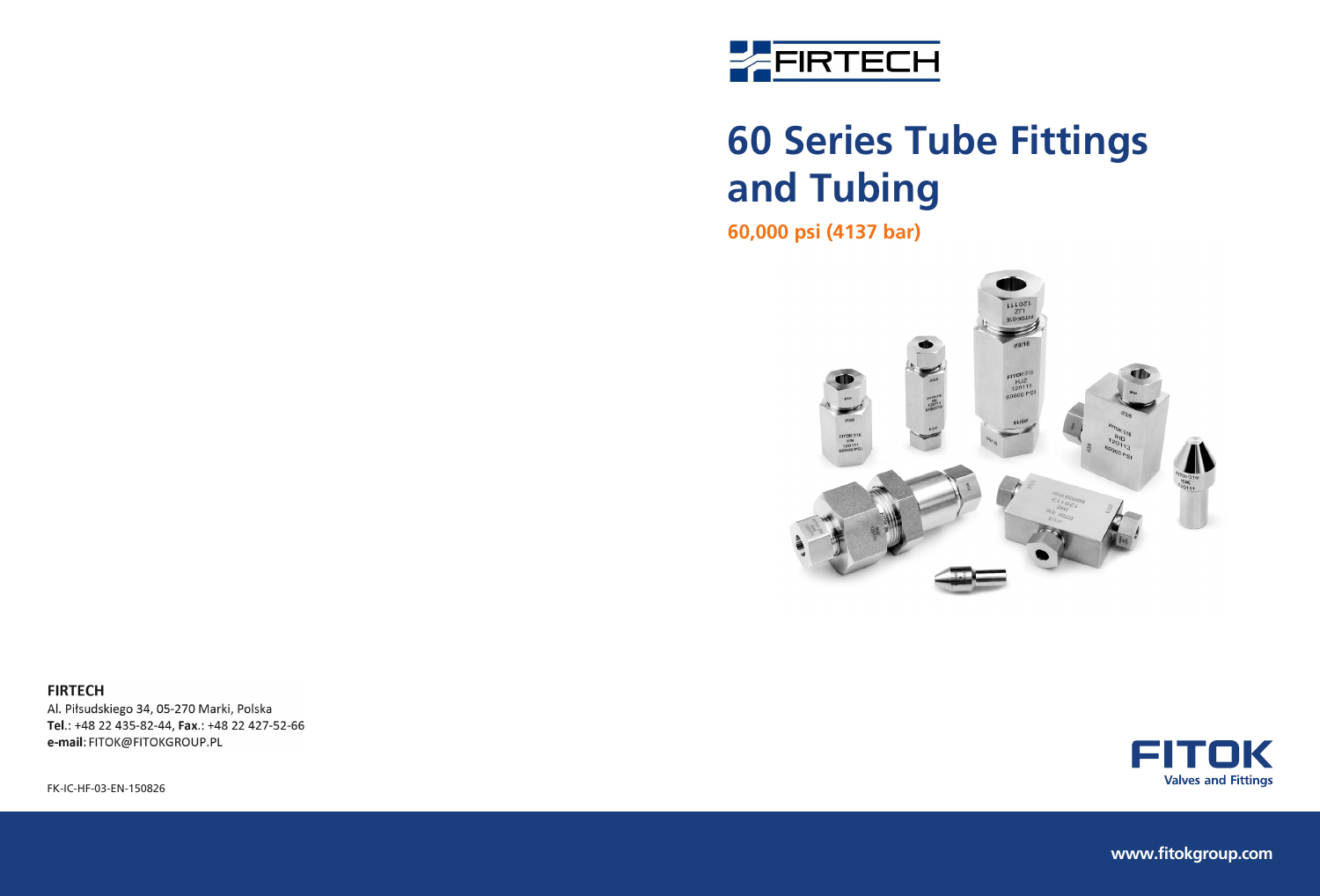

# **60 Series Tube Fittings and Tubing**

**60,000 psi (4137 bar)**



#### **FIRTECH**

Al. Piłsudskiego 34, 05-270 Marki, Polska Tel.: +48 22 435-82-44, Fax.: +48 22 427-52-66 e-mail: FITOK@FITOKGROUP.PL

FK-IC-HF-03-EN-150826



**www.fitokgroup.com**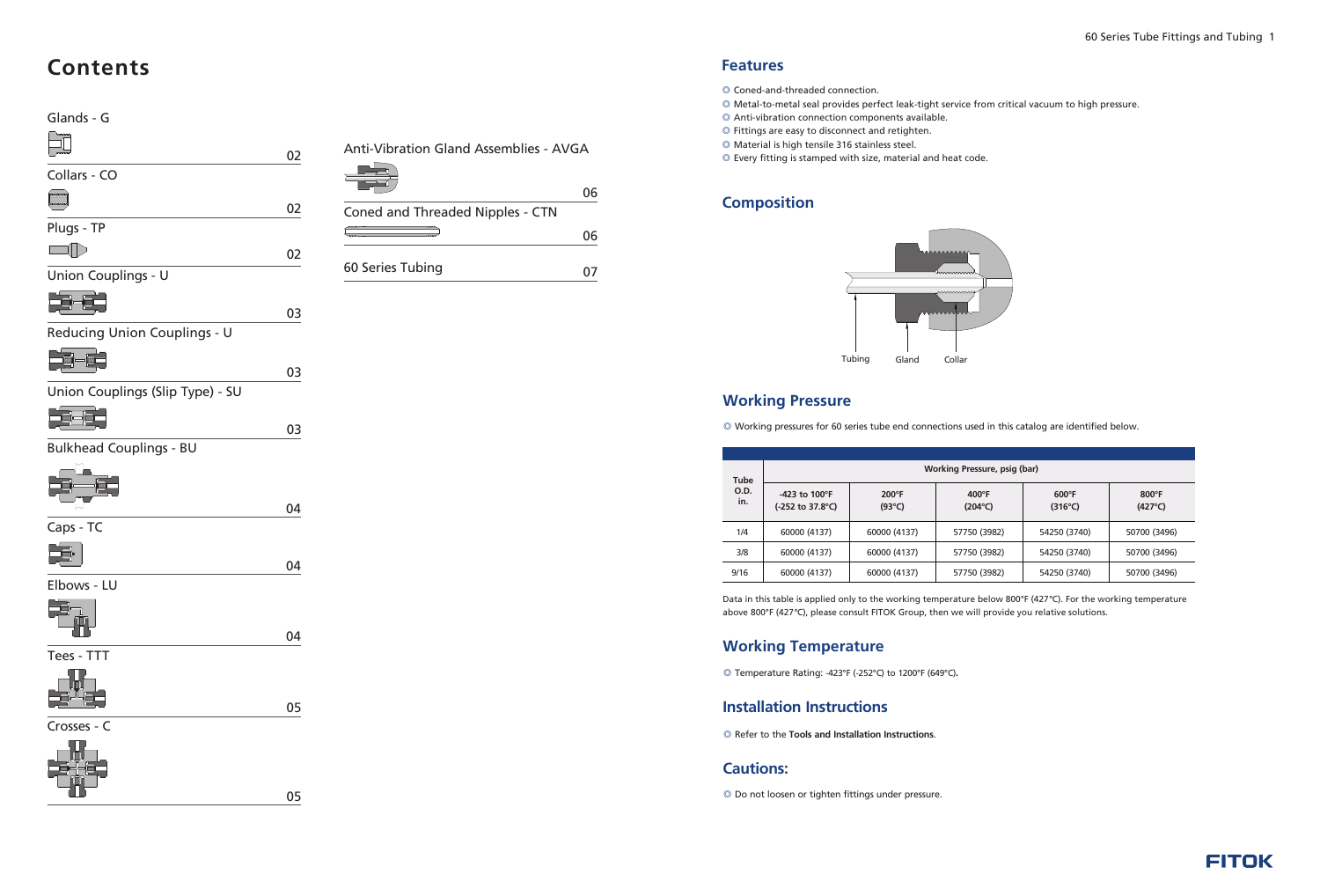



#### **Features**

- © Coned-and-threaded connection.
- Metal-to-metal seal provides perfect leak-tight service from critical vacuum to high pressure. ◎
- Anti-vibration connection components available. ◎
- Fittings are easy to disconnect and retighten. ◎
- Material is high tensile 316 stainless steel. ◎
- Every fitting is stamped with size, material and heat code. ◎

#### **Composition**



#### **Working Pressure**

◎ Working pressures for 60 series tube end connections used in this catalog are identified below.

| Tube<br>O.D.<br>in. | Working Pressure, psig (bar)                                           |                                    |                                     |                                     |                                   |  |  |  |  |  |
|---------------------|------------------------------------------------------------------------|------------------------------------|-------------------------------------|-------------------------------------|-----------------------------------|--|--|--|--|--|
|                     | $-423$ to $100^{\circ}$ F<br>$(-252 \text{ to } 37.8^{\circ}\text{C})$ | $200^{\circ}$ F<br>$(93^{\circ}C)$ | $400^{\circ}$ F<br>$(204^{\circ}C)$ | $600^{\circ}$ F<br>$(316^{\circ}C)$ | $800^\circ F$<br>$(427^{\circ}C)$ |  |  |  |  |  |
| 1/4                 | 60000 (4137)                                                           | 60000 (4137)                       | 57750 (3982)                        | 54250 (3740)                        | 50700 (3496)                      |  |  |  |  |  |
| 3/8                 | 60000 (4137)                                                           | 60000 (4137)                       | 57750 (3982)                        | 54250 (3740)                        | 50700 (3496)                      |  |  |  |  |  |
| 9/16                | 60000 (4137)                                                           | 60000 (4137)                       | 57750 (3982)                        | 54250 (3740)                        | 50700 (3496)                      |  |  |  |  |  |

Data in this table is applied only to the working temperature below 800°F (427°C). For the working temperature above 800°F (427°C), please consult FITOK Group, then we will provide you relative solutions.

07 60 Series Tubing

### **Contents**

04

| Coned and Threaded Nipples - CTN |     |
|----------------------------------|-----|
|                                  | IF. |
|                                  |     |

02

02

## Glands - G  $\boxed{\Box}$ Collars - CO **MANARIAN** Plugs - TP  $\Box$ Union Couplings - U **Report** Reducing Union Couplings - U Union Couplings (Slip Type) - SU **Report** Bulkhead Couplings - BU Caps - TC Elbows - LU Tees - TTT

02

03

04

04

Crosses - C



05

05

Anti-Vibration Gland Assemblies - AVGA



03

#### **Working Temperature**

◎ Temperature Rating: -423°F (-252°C) to 1200°F (649°C)**.**

#### **Installation Instructions**

◎ Refer to the **Tools and Installation Instructions**.

#### **Cautions:**

◎ Do not loosen or tighten fittings under pressure.

03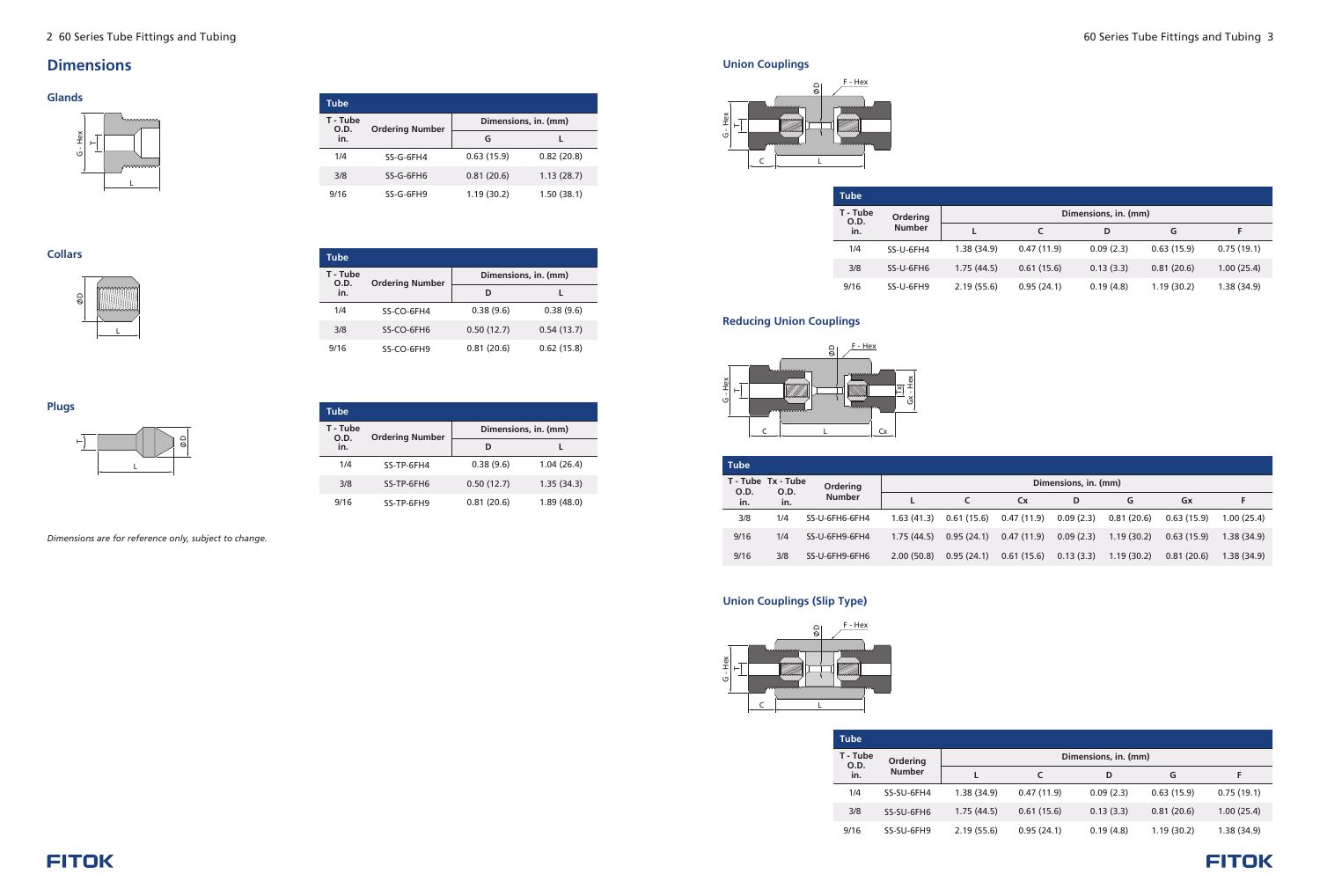#### 2 60 Series Tube Fittings and Tubing 60 Series Tube Fittings and Tubing 3

#### **Glands**

#### **Collars**

#### **Dimensions**

| Tube             |                        |                      |            |  |  |
|------------------|------------------------|----------------------|------------|--|--|
| T - Tube<br>O.D. | <b>Ordering Number</b> | Dimensions, in. (mm) |            |  |  |
| in.              |                        | D                    |            |  |  |
| 1/4              | SS-CO-6FH4             | 0.38(9.6)            | 0.38(9.6)  |  |  |
| 3/8              | SS-CO-6FH6             | 0.50(12.7)           | 0.54(13.7) |  |  |
| 9/16             | SS-CO-6FH9             | 0.81(20.6)           | 0.62(15.8) |  |  |

| <b>Tube</b>      |                        |                      |            |  |  |  |  |  |  |
|------------------|------------------------|----------------------|------------|--|--|--|--|--|--|
| T - Tube<br>O.D. | <b>Ordering Number</b> | Dimensions, in. (mm) |            |  |  |  |  |  |  |
| in.              |                        | G                    |            |  |  |  |  |  |  |
| 1/4              | SS-G-6FH4              | 0.63(15.9)           | 0.82(20.8) |  |  |  |  |  |  |
| 3/8              | SS-G-6FH6              | 0.81(20.6)           | 1.13(28.7) |  |  |  |  |  |  |
| 9/16             | SS-G-6FH9              | 1.19(30.2)           | 1.50(38.1) |  |  |  |  |  |  |





*Dimensions are for reference only, subject to change.*

**Plugs**



| Tube             |                        |                      |            |  |  |  |  |  |  |
|------------------|------------------------|----------------------|------------|--|--|--|--|--|--|
| T - Tube<br>O.D. | <b>Ordering Number</b> | Dimensions, in. (mm) |            |  |  |  |  |  |  |
| in.              |                        | D                    |            |  |  |  |  |  |  |
| 1/4              | SS-TP-6FH4             | 0.38(9.6)            | 1.04(26.4) |  |  |  |  |  |  |
| 3/8              | SS-TP-6FH6             | 0.50(12.7)           | 1.35(34.3) |  |  |  |  |  |  |
| 9/16             | SS-TP-6FH9             | 0.81(20.6)           | 1.89(48.0) |  |  |  |  |  |  |

**Reducing Union Couplings**

| <b>Tube</b>                |      |                |                      |            |            |           |            |            |             |
|----------------------------|------|----------------|----------------------|------------|------------|-----------|------------|------------|-------------|
| T - Tube Tx - Tube<br>O.D. | O.D. | Ordering       | Dimensions, in. (mm) |            |            |           |            |            |             |
| in.                        | in.  | <b>Number</b>  |                      |            | <b>Cx</b>  | D         | G          | Gx         |             |
| 3/8                        | 1/4  | SS-U-6FH6-6FH4 | 1.63(41.3)           | 0.61(15.6) | 0.47(11.9) | 0.09(2.3) | 0.81(20.6) | 0.63(15.9) | 1.00(25.4)  |
| 9/16                       | 1/4  | SS-U-6FH9-6FH4 | 1.75(44.5)           | 0.95(24.1) | 0.47(11.9) | 0.09(2.3) | 1.19(30.2) | 0.63(15.9) | 1.38 (34.9) |
| 9/16                       | 3/8  | SS-U-6FH9-6FH6 | 2.00(50.8)           | 0.95(24.1) | 0.61(15.6) | 0.13(3.3) | 1.19(30.2) | 0.81(20.6) | 1.38(34.9)  |

#### **Union Couplings (Slip Type)**

| Tube             |               |                      |            |           |            |            |  |  |  |
|------------------|---------------|----------------------|------------|-----------|------------|------------|--|--|--|
| T - Tube<br>O.D. | Ordering      | Dimensions, in. (mm) |            |           |            |            |  |  |  |
| in.              | <b>Number</b> |                      | c          | D         | G          | F          |  |  |  |
| 1/4              | SS-SU-6FH4    | 1.38(34.9)           | 0.47(11.9) | 0.09(2.3) | 0.63(15.9) | 0.75(19.1) |  |  |  |
| 3/8              | SS-SU-6FH6    | 1.75(44.5)           | 0.61(15.6) | 0.13(3.3) | 0.81(20.6) | 1.00(25.4) |  |  |  |
| 9/16             | SS-SU-6FH9    | 2.19(55.6)           | 0.95(24.1) | 0.19(4.8) | 1.19(30.2) | 1.38(34.9) |  |  |  |

#### **FITOK**







#### **Union Couplings**

| <b>Tube</b>      |                 |                      |            |           |            |            |  |  |
|------------------|-----------------|----------------------|------------|-----------|------------|------------|--|--|
| T - Tube<br>O.D. | <b>Ordering</b> | Dimensions, in. (mm) |            |           |            |            |  |  |
| in.              | <b>Number</b>   |                      |            | D         | G          | F          |  |  |
| 1/4              | SS-U-6FH4       | 1.38(34.9)           | 0.47(11.9) | 0.09(2.3) | 0.63(15.9) | 0.75(19.1) |  |  |
| 3/8              | SS-U-6FH6       | 1.75(44.5)           | 0.61(15.6) | 0.13(3.3) | 0.81(20.6) | 1.00(25.4) |  |  |
| 9/16             | SS-U-6FH9       | 2.19(55.6)           | 0.95(24.1) | 0.19(4.8) | 1.19(30.2) | 1.38(34.9) |  |  |

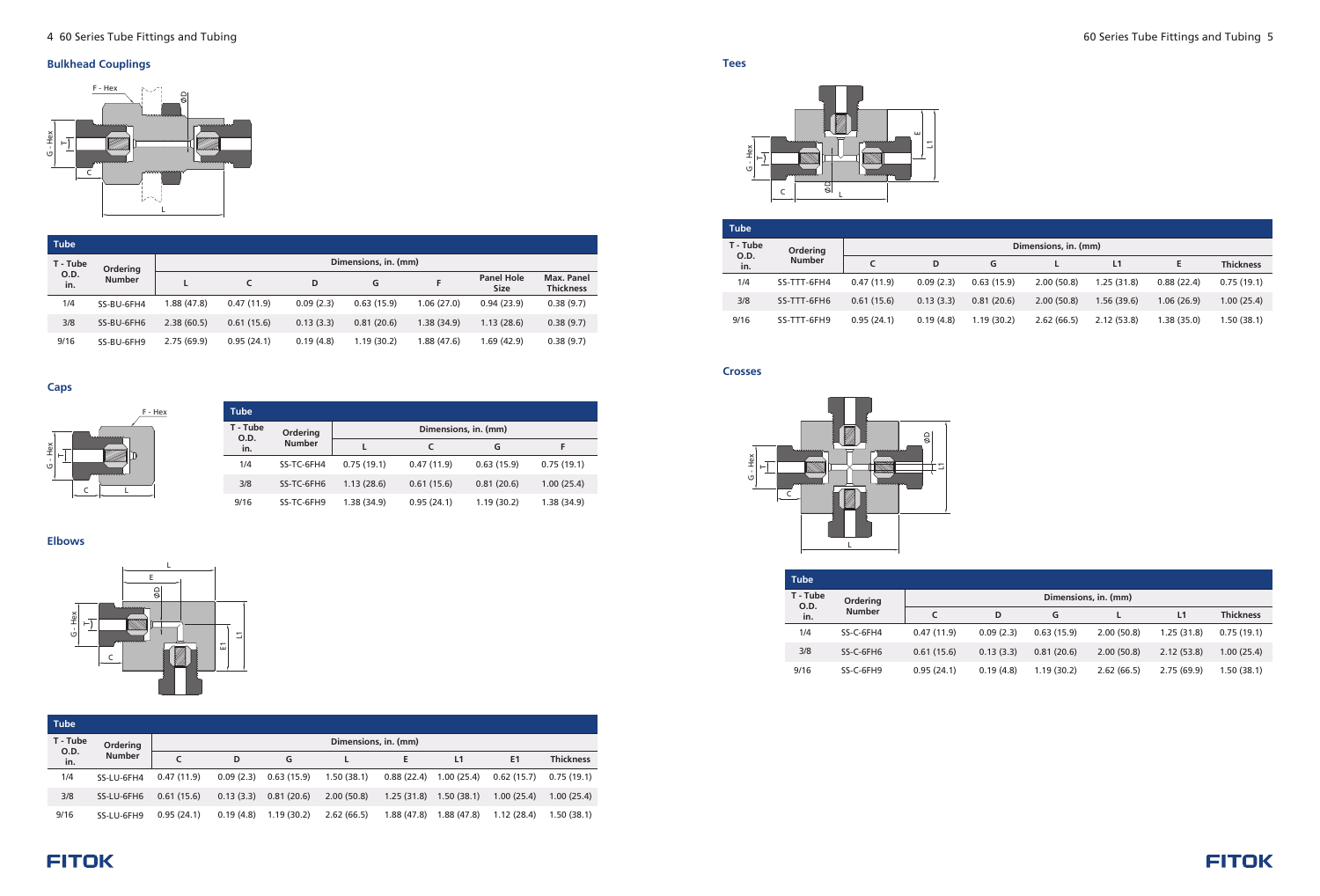

#### **Bulkhead Couplings**

| <b>Tube</b> |                           |                      |            |           |            |            |                                  |                                |  |
|-------------|---------------------------|----------------------|------------|-----------|------------|------------|----------------------------------|--------------------------------|--|
| T - Tube    | Ordering<br><b>Number</b> | Dimensions, in. (mm) |            |           |            |            |                                  |                                |  |
| 0.D.<br>in. |                           |                      |            | D         | G          | F          | <b>Panel Hole</b><br><b>Size</b> | Max. Panel<br><b>Thickness</b> |  |
| 1/4         | SS-BU-6FH4                | I.88 (47.8)          | 0.47(11.9) | 0.09(2.3) | 0.63(15.9) | 1.06(27.0) | 0.94(23.9)                       | 0.38(9.7)                      |  |
| 3/8         | SS-BU-6FH6                | 2.38(60.5)           | 0.61(15.6) | 0.13(3.3) | 0.81(20.6) | 1.38(34.9) | 1.13(28.6)                       | 0.38(9.7)                      |  |
| 9/16        | SS-BU-6FH9                | 2.75(69.9)           | 0.95(24.1) | 0.19(4.8) | 1.19(30.2) | 1.88(47.6) | 1.69(42.9)                       | 0.38(9.7)                      |  |

**Caps**

**Elbows**







| <b>Tube</b>      |               |                      |            |            |             |  |  |  |  |
|------------------|---------------|----------------------|------------|------------|-------------|--|--|--|--|
| T - Tube<br>O.D. | Ordering      | Dimensions, in. (mm) |            |            |             |  |  |  |  |
| in.              | <b>Number</b> |                      |            | G          | F           |  |  |  |  |
| 1/4              | SS-TC-6FH4    | 0.75(19.1)           | 0.47(11.9) | 0.63(15.9) | 0.75(19.1)  |  |  |  |  |
| 3/8              | SS-TC-6FH6    | 1.13(28.6)           | 0.61(15.6) | 0.81(20.6) | 1.00(25.4)  |  |  |  |  |
| 9/16             | SS-TC-6FH9    | 1.38 (34.9)          | 0.95(24.1) | 1.19(30.2) | 1.38 (34.9) |  |  |  |  |

**Tees**

| <b>Tube</b> |                           |                      |           |            |            |            |            |                |                  |
|-------------|---------------------------|----------------------|-----------|------------|------------|------------|------------|----------------|------------------|
| T - Tube    | Ordering<br><b>Number</b> | Dimensions, in. (mm) |           |            |            |            |            |                |                  |
| 0.D.<br>in. |                           |                      | D         | G          |            | E          | L1         | E <sub>1</sub> | <b>Thickness</b> |
| 1/4         | SS-LU-6FH4                | 0.47(11.9)           | 0.09(2.3) | 0.63(15.9) | 1.50(38.1) | 0.88(22.4) | 1.00(25.4) | 0.62(15.7)     | 0.75(19.1)       |
| 3/8         | SS-LU-6FH6                | 0.61(15.6)           | 0.13(3.3) | 0.81(20.6) | 2.00(50.8) | 1.25(31.8) | 1.50(38.1) | 1.00(25.4)     | 1.00(25.4)       |
| 9/16        | SS-LU-6FH9                | 0.95(24.1)           | 0.19(4.8) | 1.19(30.2) | 2.62(66.5) | 1.88(47.8) | 1.88(47.8) | 1.12(28.4)     | 1.50(38.1)       |

**Crosses**

| <b>Tube</b> |                                          |                      |           |            |            |            |            |                  |  |
|-------------|------------------------------------------|----------------------|-----------|------------|------------|------------|------------|------------------|--|
| T - Tube    | Ordering<br>O.D.<br><b>Number</b><br>in. | Dimensions, in. (mm) |           |            |            |            |            |                  |  |
|             |                                          |                      | D         | G          |            | L1         | Е          | <b>Thickness</b> |  |
| 1/4         | SS-TTT-6FH4                              | 0.47(11.9)           | 0.09(2.3) | 0.63(15.9) | 2.00(50.8) | 1.25(31.8) | 0.88(22.4) | 0.75(19.1)       |  |
| 3/8         | SS-TTT-6FH6                              | 0.61(15.6)           | 0.13(3.3) | 0.81(20.6) | 2.00(50.8) | 1.56(39.6) | 1.06(26.9) | 1.00(25.4)       |  |
| 9/16        | SS-TTT-6FH9                              | 0.95(24.1)           | 0.19(4.8) | 1.19(30.2) | 2.62(66.5) | 2.12(53.8) | 1.38(35.0) | 1.50(38.1)       |  |

| <b>Tube</b> |               |            |           |            |                      |                |                  |
|-------------|---------------|------------|-----------|------------|----------------------|----------------|------------------|
| T - Tube    | Ordering      |            |           |            | Dimensions, in. (mm) |                |                  |
| O.D.<br>in. | <b>Number</b> | C          | D         | G          |                      | L <sub>1</sub> | <b>Thickness</b> |
| 1/4         | SS-C-6FH4     | 0.47(11.9) | 0.09(2.3) | 0.63(15.9) | 2.00(50.8)           | 1.25(31.8)     | 0.75(19.1)       |
| 3/8         | SS-C-6FH6     | 0.61(15.6) | 0.13(3.3) | 0.81(20.6) | 2.00(50.8)           | 2.12(53.8)     | 1.00(25.4)       |
| 9/16        | SS-C-6FH9     | 0.95(24.1) | 0.19(4.8) | 1.19(30.2) | 2.62(66.5)           | 2.75(69.9)     | 1.50(38.1)       |